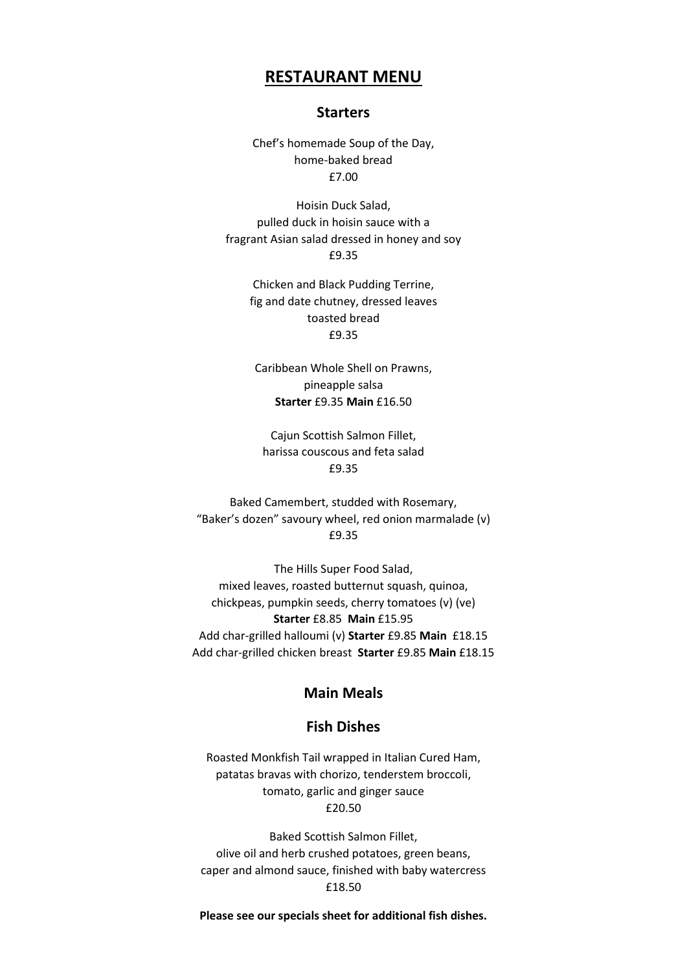# **RESTAURANT MENU**

#### **Starters**

Chef's homemade Soup of the Day, home-baked bread £7.00

Hoisin Duck Salad, pulled duck in hoisin sauce with a fragrant Asian salad dressed in honey and soy £9.35

> Chicken and Black Pudding Terrine, fig and date chutney, dressed leaves toasted bread £9.35

Caribbean Whole Shell on Prawns, pineapple salsa **Starter** £9.35 **Main** £16.50

Cajun Scottish Salmon Fillet, harissa couscous and feta salad £9.35

Baked Camembert, studded with Rosemary, "Baker's dozen" savoury wheel, red onion marmalade (v) £9.35

The Hills Super Food Salad, mixed leaves, roasted butternut squash, quinoa, chickpeas, pumpkin seeds, cherry tomatoes (v) (ve) **Starter** £8.85 **Main** £15.95 Add char-grilled halloumi (v) **Starter** £9.85 **Main** £18.15 Add char-grilled chicken breast **Starter** £9.85 **Main** £18.15

# **Main Meals**

# **Fish Dishes**

Roasted Monkfish Tail wrapped in Italian Cured Ham, patatas bravas with chorizo, tenderstem broccoli, tomato, garlic and ginger sauce £20.50

Baked Scottish Salmon Fillet, olive oil and herb crushed potatoes, green beans, caper and almond sauce, finished with baby watercress £18.50

**Please see our specials sheet for additional fish dishes.**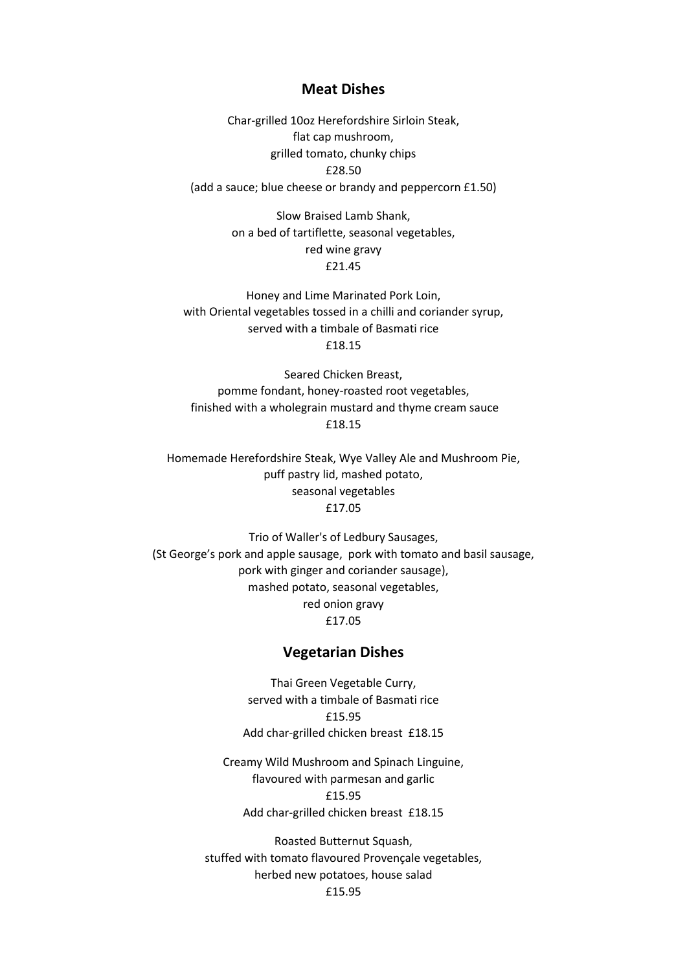#### **Meat Dishes**

Char-grilled 10oz Herefordshire Sirloin Steak, flat cap mushroom, grilled tomato, chunky chips £28.50 (add a sauce; blue cheese or brandy and peppercorn £1.50)

> Slow Braised Lamb Shank, on a bed of tartiflette, seasonal vegetables, red wine gravy £21.45

Honey and Lime Marinated Pork Loin, with Oriental vegetables tossed in a chilli and coriander syrup, served with a timbale of Basmati rice £18.15

Seared Chicken Breast, pomme fondant, honey-roasted root vegetables, finished with a wholegrain mustard and thyme cream sauce £18.15

Homemade Herefordshire Steak, Wye Valley Ale and Mushroom Pie, puff pastry lid, mashed potato, seasonal vegetables £17.05

Trio of Waller's of Ledbury Sausages, (St George's pork and apple sausage, pork with tomato and basil sausage, pork with ginger and coriander sausage), mashed potato, seasonal vegetables, red onion gravy £17.05

### **Vegetarian Dishes**

Thai Green Vegetable Curry, served with a timbale of Basmati rice £15.95 Add char-grilled chicken breast £18.15

Creamy Wild Mushroom and Spinach Linguine, flavoured with parmesan and garlic £15.95 Add char-grilled chicken breast £18.15

Roasted Butternut Squash, stuffed with tomato flavoured Provençale vegetables, herbed new potatoes, house salad £15.95